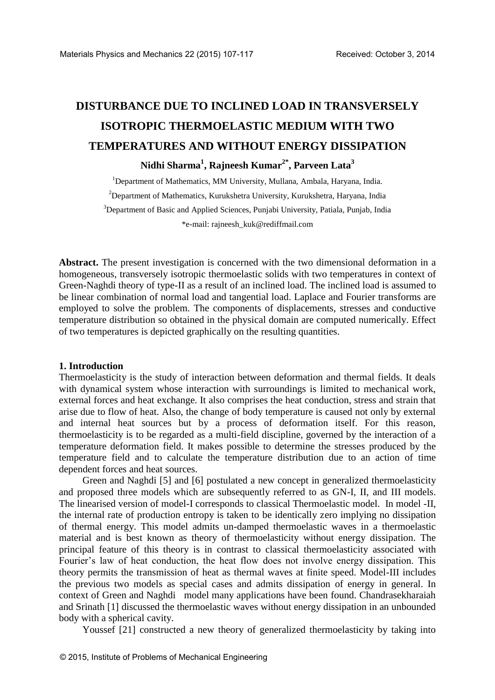# **DISTURBANCE DUE TO INCLINED LOAD IN TRANSVERSELY ISOTROPIC THERMOELASTIC MEDIUM WITH TWO TEMPERATURES AND WITHOUT ENERGY DISSIPATION**

**Nidhi Sharma<sup>1</sup> , Rajneesh Kumar2\* , Parveen Lata<sup>3</sup>**

<sup>1</sup>Department of Mathematics, MM University, Mullana, Ambala, Haryana, India.  $2$ Department of Mathematics, Kurukshetra University, Kurukshetra, Haryana, India <sup>3</sup>Department of Basic and Applied Sciences, Punjabi University, Patiala, Punjab, India \*e-mail: [rajneesh\\_kuk@rediffmail.com](mailto:rajneesh_kuk@rediffmail.com)

**Abstract.** The present investigation is concerned with the two dimensional deformation in a homogeneous, transversely isotropic thermoelastic solids with two temperatures in context of Green-Naghdi theory of type-II as a result of an inclined load. The inclined load is assumed to be linear combination of normal load and tangential load. Laplace and Fourier transforms are employed to solve the problem. The components of displacements, stresses and conductive temperature distribution so obtained in the physical domain are computed numerically. Effect of two temperatures is depicted graphically on the resulting quantities.

#### **1. Introduction**

Thermoelasticity is the study of interaction between deformation and thermal fields. It deals with dynamical system whose interaction with surroundings is limited to mechanical work, external forces and heat exchange. It also comprises the heat conduction, stress and strain that arise due to flow of heat. Also, the change of body temperature is caused not only by external and internal heat sources but by a process of deformation itself. For this reason, thermoelasticity is to be regarded as a multi-field discipline, governed by the interaction of a temperature deformation field. It makes possible to determine the stresses produced by the temperature field and to calculate the temperature distribution due to an action of time dependent forces and heat sources.

Green and Naghdi [5] and [6] postulated a new concept in generalized thermoelasticity and proposed three models which are subsequently referred to as GN-I, II, and III models. The linearised version of model-I corresponds to classical Thermoelastic model. In model -II, the internal rate of production entropy is taken to be identically zero implying no dissipation of thermal energy. This model admits un-damped thermoelastic waves in a thermoelastic material and is best known as theory of thermoelasticity without energy dissipation. The principal feature of this theory is in contrast to classical thermoelasticity associated with Fourier's law of heat conduction, the heat flow does not involve energy dissipation. This theory permits the transmission of heat as thermal waves at finite speed. Model-III includes the previous two models as special cases and admits dissipation of energy in general. In context of Green and Naghdi model many applications have been found. Chandrasekharaiah and Srinath [1] discussed the thermoelastic waves without energy dissipation in an unbounded body with a spherical cavity.

Youssef [21] constructed a new theory of generalized thermoelasticity by taking into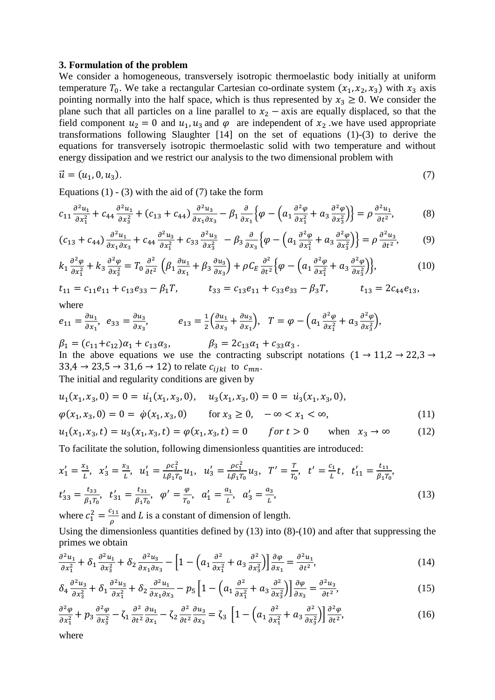#### **3. Formulation of the problem**

We consider a homogeneous, transversely isotropic thermoelastic body initially at uniform temperature  $T_0$ . We take a rectangular Cartesian co-ordinate system  $(x_1, x_2, x_3)$  with  $x_3$  axis pointing normally into the half space, which is thus represented by  $x_3 \ge 0$ . We consider the plane such that all particles on a line parallel to  $x_2$  – axis are equally displaced, so that the field component  $u_2 = 0$  and  $u_1, u_3$  and  $\varphi$  are independent of  $x_2$  we have used appropriate transformations following Slaughter [14] on the set of equations (1)-(3) to derive the equations for transversely isotropic thermoelastic solid with two temperature and without energy dissipation and we restrict our analysis to the two dimensional problem with

$$
\vec{u} = (u_1, 0, u_3). \tag{7}
$$

Equations  $(1)$  -  $(3)$  with the aid of  $(7)$  take the form

$$
c_{11}\frac{\partial^2 u_1}{\partial x_1^2} + c_{44}\frac{\partial^2 u_1}{\partial x_3^2} + (c_{13} + c_{44})\frac{\partial^2 u_3}{\partial x_1 \partial x_3} - \beta_1 \frac{\partial}{\partial x_1} \left\{\varphi - \left(a_1 \frac{\partial^2 \varphi}{\partial x_1^2} + a_3 \frac{\partial^2 \varphi}{\partial x_3^2}\right)\right\} = \rho \frac{\partial^2 u_1}{\partial t^2},\tag{8}
$$

$$
(c_{13} + c_{44})\frac{\partial^2 u_1}{\partial x_1 \partial x_3} + c_{44} \frac{\partial^2 u_3}{\partial x_1^2} + c_{33} \frac{\partial^2 u_3}{\partial x_3^2} - \beta_3 \frac{\partial}{\partial x_3} \left\{ \varphi - \left( a_1 \frac{\partial^2 \varphi}{\partial x_1^2} + a_3 \frac{\partial^2 \varphi}{\partial x_3^2} \right) \right\} = \rho \frac{\partial^2 u_3}{\partial t^2},\tag{9}
$$

$$
k_1 \frac{\partial^2 \varphi}{\partial x_1^2} + k_3 \frac{\partial^2 \varphi}{\partial x_3^2} = T_0 \frac{\partial^2}{\partial t^2} \left( \beta_1 \frac{\partial u_1}{\partial x_1} + \beta_3 \frac{\partial u_3}{\partial x_3} \right) + \rho C_E \frac{\partial^2}{\partial t^2} \left\{ \varphi - \left( a_1 \frac{\partial^2 \varphi}{\partial x_1^2} + a_3 \frac{\partial^2 \varphi}{\partial x_3^2} \right) \right\},\tag{10}
$$

 $t_{11} = c_{11}e_{11} + c_{13}e_{33} - \beta_1T$ ,  $t_{33} = c_{13}e_{11} + c_{33}e_{33} - \beta_3T$ ,  $t_{13} = 2c_{44}e_{13}$ ,

where

$$
e_{11} = \frac{\partial u_1}{\partial x_1}, \quad e_{33} = \frac{\partial u_3}{\partial x_3}, \qquad \qquad e_{13} = \frac{1}{2} \left( \frac{\partial u_1}{\partial x_3} + \frac{\partial u_3}{\partial x_1} \right), \quad T = \varphi - \left( a_1 \frac{\partial^2 \varphi}{\partial x_1^2} + a_3 \frac{\partial^2 \varphi}{\partial x_3^2} \right),
$$

 $\beta_1 = (c_{11} + c_{12})\alpha_1 + c_{13}\alpha_3, \qquad \beta_3 = 2c_{13}\alpha_1 + c_{33}\alpha_3.$ In the above equations we use the contracting subscript notations  $(1 \rightarrow 11,2 \rightarrow 22,3 \rightarrow$  $33,4 \rightarrow 23,5 \rightarrow 31,6 \rightarrow 12$ ) to relate  $c_{ijkl}$  to  $c_{mn}$ . The initial and regularity conditions are given by

$$
u_1(x_1, x_3, 0) = 0 = u_1(x_1, x_3, 0), \quad u_3(x_1, x_3, 0) = 0 = u_3(x_1, x_3, 0),
$$
  
\n
$$
\varphi(x_1, x_3, 0) = 0 = \dot{\varphi}(x_1, x_3, 0) \quad \text{for } x_3 \ge 0, \quad -\infty < x_1 < \infty,
$$
\n
$$
(11)
$$

$$
u_1(x_1, x_3, t) = u_3(x_1, x_3, t) = \varphi(x_1, x_3, t) = 0 \qquad \text{for } t > 0 \qquad \text{when } x_3 \to \infty \tag{12}
$$

To facilitate the solution, following dimensionless quantities are introduced:

$$
x'_1 = \frac{x_1}{L}, \quad x'_3 = \frac{x_3}{L}, \quad u'_1 = \frac{\rho c_1^2}{L \beta_1 T_0} u_1, \quad u'_3 = \frac{\rho c_1^2}{L \beta_1 T_0} u_3, \quad T' = \frac{T}{T_0}, \quad t' = \frac{c_1}{L} t, \quad t'_{11} = \frac{t_{11}}{\beta_1 T_0},
$$
  

$$
t'_{33} = \frac{t_{33}}{\beta_1 T_0}, \quad t'_{31} = \frac{t_{31}}{\beta_1 T_0}, \quad \varphi' = \frac{\varphi}{T_0}, \quad \alpha'_1 = \frac{a_1}{L}, \quad \alpha'_3 = \frac{a_3}{L},
$$
 (13)

where  $c_1^2 = \frac{c}{2}$  $\frac{a_{11}}{\rho}$  and L is a constant of dimension of length.

Using the dimensionless quantities defined by (13) into (8)-(10) and after that suppressing the primes we obtain

$$
\frac{\partial^2 u_1}{\partial x_1^2} + \delta_1 \frac{\partial^2 u_1}{\partial x_3^2} + \delta_2 \frac{\partial^2 u_3}{\partial x_1 \partial x_3} - \left[1 - \left(a_1 \frac{\partial^2}{\partial x_1^2} + a_3 \frac{\partial^2}{\partial x_3^2}\right)\right] \frac{\partial \varphi}{\partial x_1} = \frac{\partial^2 u_1}{\partial t^2},\tag{14}
$$

$$
\delta_4 \frac{\partial^2 u_3}{\partial x_3^2} + \delta_1 \frac{\partial^2 u_3}{\partial x_1^2} + \delta_2 \frac{\partial^2 u_1}{\partial x_1 \partial x_3} - p_5 \left[ 1 - \left( a_1 \frac{\partial^2}{\partial x_1^2} + a_3 \frac{\partial^2}{\partial x_3^2} \right) \right] \frac{\partial \varphi}{\partial x_3} = \frac{\partial^2 u_3}{\partial t^2},\tag{15}
$$

$$
\frac{\partial^2 \varphi}{\partial x_1^2} + p_3 \frac{\partial^2 \varphi}{\partial x_3^2} - \zeta_1 \frac{\partial^2}{\partial t^2} \frac{\partial u_1}{\partial x_1} - \zeta_2 \frac{\partial^2}{\partial t^2} \frac{\partial u_3}{\partial x_3} = \zeta_3 \left[ 1 - \left( a_1 \frac{\partial^2}{\partial x_1^2} + a_3 \frac{\partial^2}{\partial x_3^2} \right) \right] \frac{\partial^2 \varphi}{\partial t^2},\tag{16}
$$

where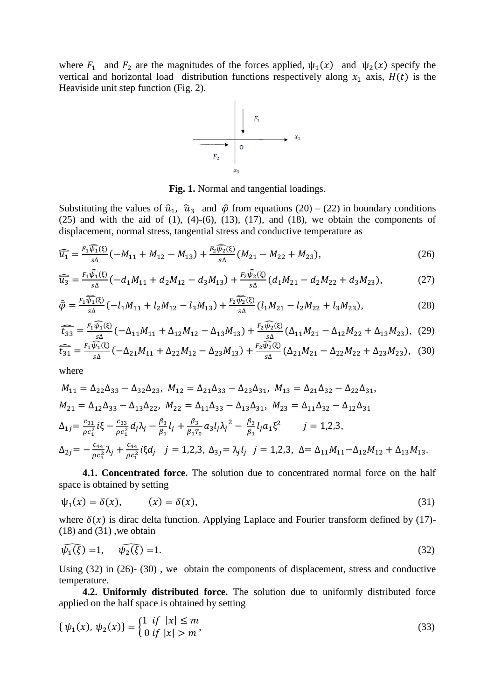where  $F_1$  and  $F_2$  are the magnitudes of the forces applied,  $\psi_1(x)$  and  $\psi_2(x)$  specify the vertical and horizontal load distribution functions respectively along  $x_1$  axis,  $H(t)$  is the Heaviside unit step function (Fig. 2).



**Fig. 1.** Normal and tangential loadings.

Substituting the values of  $\hat{u}_1$ ,  $\hat{u}_3$  and  $\hat{\varphi}$  from equations (20) – (22) in boundary conditions  $(25)$  and with the aid of  $(1)$ ,  $(4)-(6)$ ,  $(13)$ ,  $(17)$ , and  $(18)$ , we obtain the components of displacement, normal stress, tangential stress and conductive temperature as

$$
\widehat{\overline{u_1}} = \frac{F_1 \widehat{\psi_1}(\xi)}{s\Delta} \left( -M_{11} + M_{12} - M_{13} \right) + \frac{F_2 \widehat{\psi_2}(\xi)}{s\Delta} \left( M_{21} - M_{22} + M_{23} \right),\tag{26}
$$

$$
\widehat{\overline{u_3}} = \frac{F_1 \widehat{\psi_1}(\xi)}{s\Delta} \left( -d_1 M_{11} + d_2 M_{12} - d_3 M_{13} \right) + \frac{F_2 \widehat{\psi_2}(\xi)}{s\Delta} \left( d_1 M_{21} - d_2 M_{22} + d_3 M_{23} \right),\tag{27}
$$

$$
\hat{\overline{\varphi}} = \frac{F_1 \widehat{\psi}_1(\xi)}{s\Delta} \left( -l_1 M_{11} + l_2 M_{12} - l_3 M_{13} \right) + \frac{F_2 \widehat{\psi}_2(\xi)}{s\Delta} \left( l_1 M_{21} - l_2 M_{22} + l_3 M_{23} \right),\tag{28}
$$

$$
\widehat{t_{33}} = \frac{F_1 \widehat{\psi_1(\xi)}}{\widehat{\phi_2}} \left( -\Delta_{11} M_{11} + \Delta_{12} M_{12} - \Delta_{13} M_{13} \right) + \frac{F_2 \widehat{\psi_2(\xi)}}{\widehat{\phi_2(\xi)}} \left( \Delta_{11} M_{21} - \Delta_{12} M_{22} + \Delta_{13} M_{23} \right), (29)
$$

$$
\widehat{\overline{t}_{31}} = \frac{F_1 \widehat{\psi_1}(\xi)}{s\Delta} \left( -\Delta_{21} M_{11} + \Delta_{22} M_{12} - \Delta_{23} M_{13} \right) + \frac{F_2 \widehat{\psi_2}(\xi)}{s\Delta} \left( \Delta_{21} M_{21} - \Delta_{22} M_{22} + \Delta_{23} M_{23} \right), \tag{30}
$$

where

$$
M_{11} = \Delta_{22}\Delta_{33} - \Delta_{32}\Delta_{23}, \ M_{12} = \Delta_{21}\Delta_{33} - \Delta_{23}\Delta_{31}, \ M_{13} = \Delta_{21}\Delta_{32} - \Delta_{22}\Delta_{31},
$$
  
\n
$$
M_{21} = \Delta_{12}\Delta_{33} - \Delta_{13}\Delta_{22}, \ M_{22} = \Delta_{11}\Delta_{33} - \Delta_{13}\Delta_{31}, \ M_{23} = \Delta_{11}\Delta_{32} - \Delta_{12}\Delta_{31}
$$
  
\n
$$
\Delta_{1j} = \frac{c_{31}}{\rho c_1^2} i\xi - \frac{c_{33}}{\rho c_1^2} d_j \lambda_j - \frac{\beta_3}{\beta_1} l_j + \frac{\beta_3}{\beta_1 T_0} a_3 l_j \lambda_j^2 - \frac{\beta_3}{\beta_1} l_j a_1 \xi^2 \qquad j = 1, 2, 3,
$$
  
\n
$$
\Delta_{2j} = -\frac{c_{44}}{\rho c_1^2} \lambda_j + \frac{c_{44}}{\rho c_1^2} i\xi d_j \quad j = 1, 2, 3, \ \Delta_{3j} = \lambda_j l_j \quad j = 1, 2, 3, \ \Delta = \Delta_{11} M_{11} - \Delta_{12} M_{12} + \Delta_{13} M_{13}.
$$

**4.1. Concentrated force.** The solution due to concentrated normal force on the half space is obtained by setting

$$
\psi_1(x) = \delta(x), \qquad (x) = \delta(x), \tag{31}
$$

where  $\delta(x)$  is dirac delta function. Applying Laplace and Fourier transform defined by (17)- $(18)$  and  $(31)$ , we obtain

$$
\widehat{\psi_1(\xi)} = 1, \quad \widehat{\psi_2(\xi)} = 1. \tag{32}
$$

Using (32) in (26)- (30) , we obtain the components of displacement, stress and conductive temperature.

**4.2. Uniformly distributed force.** The solution due to uniformly distributed force applied on the half space is obtained by setting

$$
\{\psi_1(x), \psi_2(x)\} = \begin{cases} 1 & \text{if } |x| \le m \\ 0 & \text{if } |x| > m \end{cases}
$$
 (33)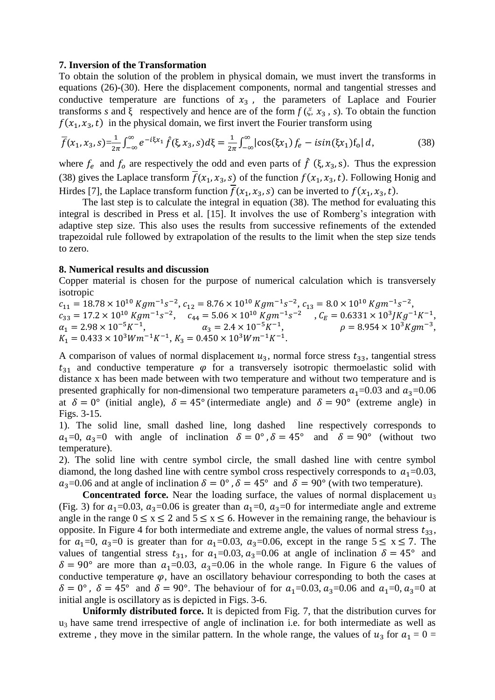### **7. Inversion of the Transformation**

To obtain the solution of the problem in physical domain, we must invert the transforms in equations (26)-(30). Here the displacement components, normal and tangential stresses and conductive temperature are functions of  $x<sub>3</sub>$ , the parameters of Laplace and Fourier transforms *s* and  $\xi$  respectively and hence are of the form  $f(\xi, x_3, s)$ . To obtain the function  $f(x_1, x_3, t)$  in the physical domain, we first invert the Fourier transform using

$$
\overline{f}(x_1, x_3, s) = \frac{1}{2\pi} \int_{-\infty}^{\infty} e^{-i\xi x_1} \hat{f}(\xi, x_3, s) d\xi = \frac{1}{2\pi} \int_{-\infty}^{\infty} |\cos(\xi x_1) f_e - i\sin(\xi x_1) f_0| d,
$$
(38)

where  $f_e$  and  $f_o$  are respectively the odd and even parts of  $\hat{f}$  ( $\xi$ ,  $x_3$ , s). Thus the expression (38) gives the Laplace transform  $\overline{f}(x_1, x_3, s)$  of the function  $f(x_1, x_3, t)$ . Following Honig and Hirdes [7], the Laplace transform function  $\overline{f}(x_1, x_3, s)$  can be inverted to  $f(x_1, x_3, t)$ .

The last step is to calculate the integral in equation (38). The method for evaluating this integral is described in Press et al. [15]. It involves the use of Romberg's integration with adaptive step size. This also uses the results from successive refinements of the extended trapezoidal rule followed by extrapolation of the results to the limit when the step size tends to zero.

#### **8. Numerical results and discussion**

Copper material is chosen for the purpose of numerical calculation which is transversely isotropic

 $c_{11} = 18.78 \times 10^{10}$  Kgm<sup>-1</sup>s<sup>-2</sup>,  $c_{12} = 8.76 \times 10^{10}$  Kgm<sup>-1</sup>s<sup>-2</sup>,  $c_{13} = 8.0 \times 10^{10}$  Kgm<sup>-1</sup>s<sup>-2</sup>,  $c_{33} = 17.2 \times 10^{10} \text{ K} \text{g} \text{m}^{-1} \text{s}^{-2}, \quad c_{44} = 5.06 \times 10^{10} \text{ K} \text{g} \text{m}^{-1} \text{s}^{-2} \quad , C_E = 0.6331 \times 10^3 \text{J} \text{K} \text{g}^{-1} \text{K}^{-1},$  $\alpha_1 = 2.98 \times 10^{-5} K^{-1}$ ,  $\alpha_3 = 2.4 \times 10^{-5} K^{-1}$ ,  $\rho = 8.954 \times 10^{3} K g m^{-3}$ ,  $K_1 = 0.433 \times 10^3 W m^{-1} K^{-1}$ ,  $K_3 = 0.450 \times 10^3 W m^{-1} K^{-1}$ .

A comparison of values of normal displacement  $u_3$ , normal force stress  $t_{33}$ , tangential stress  $t_{31}$  and conductive temperature  $\varphi$  for a transversely isotropic thermoelastic solid with distance x has been made between with two temperature and without two temperature and is presented graphically for non-dimensional two temperature parameters  $a_1=0.03$  and  $a_3=0.06$ at  $\delta = 0^{\circ}$  (initial angle),  $\delta = 45^{\circ}$  (intermediate angle) and  $\delta = 90^{\circ}$  (extreme angle) in Figs. 3-15.

1). The solid line, small dashed line, long dashed line respectively corresponds to  $a_1=0$ ,  $a_3=0$  with angle of inclination  $\delta = 0^\circ$ ,  $\delta = 45^\circ$  and  $\delta = 90^\circ$  (without two temperature).

2). The solid line with centre symbol circle, the small dashed line with centre symbol diamond, the long dashed line with centre symbol cross respectively corresponds to  $a_1$ =0.03,  $a_3$ =0.06 and at angle of inclination  $\delta = 0^\circ$ ,  $\delta = 45^\circ$  and  $\delta = 90^\circ$  (with two temperature).

**Concentrated force.** Near the loading surface, the values of normal displacement u<sub>3</sub> (Fig. 3) for  $a_1=0.03$ ,  $a_3=0.06$  is greater than  $a_1=0$ ,  $a_3=0$  for intermediate angle and extreme angle in the range  $0 \le x \le 2$  and  $5 \le x \le 6$ . However in the remaining range, the behaviour is opposite. In Figure 4 for both intermediate and extreme angle, the values of normal stress  $t_{33}$ , for  $a_1=0$ ,  $a_3=0$  is greater than for  $a_1=0.03$ ,  $a_3=0.06$ , except in the range  $5 \le x \le 7$ . The values of tangential stress  $t_{31}$ , for  $a_1=0.03$ ,  $a_3=0.06$  at angle of inclination  $\delta = 45^{\circ}$  and  $\delta = 90^{\circ}$  are more than  $a_1=0.03$ ,  $a_3=0.06$  in the whole range. In Figure 6 the values of conductive temperature  $\varphi$ , have an oscillatory behaviour corresponding to both the cases at  $\delta = 0^{\circ}$ ,  $\delta = 45^{\circ}$  and  $\delta = 90^{\circ}$ . The behaviour of for  $a_1 = 0.03$ ,  $a_3 = 0.06$  and  $a_1 = 0$ ,  $a_3 = 0$  at initial angle is oscillatory as is depicted in Figs. 3-6.

**Uniformly distributed force.** It is depicted from Fig. 7, that the distribution curves for  $u_3$  have same trend irrespective of angle of inclination i.e. for both intermediate as well as extreme, they move in the similar pattern. In the whole range, the values of  $u_3$  for  $a_1 = 0$  =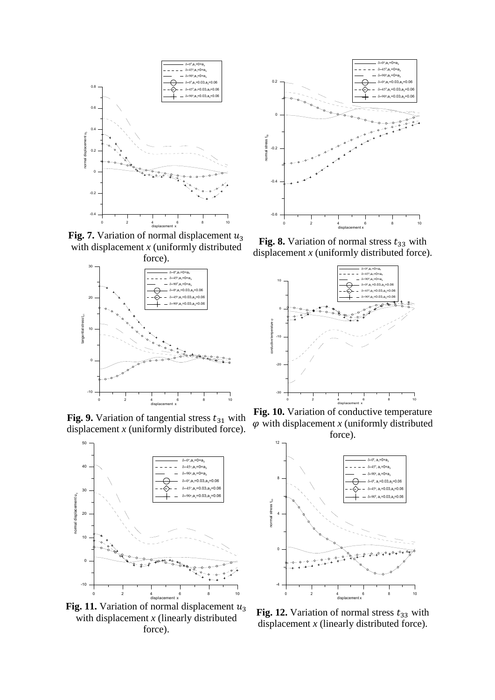

**Fig. 7.** Variation of normal displacement  $u_3$ with displacement *x* (uniformly distributed



**Fig. 9.** Variation of tangential stress  $t_{31}$  with displacement *x* (uniformly distributed force).



**Fig. 11.** Variation of normal displacement  $u_3$ with displacement *x* (linearly distributed force).



**Fig. 8.** Variation of normal stress  $t_{33}$  with displacement *x* (uniformly distributed force).



**Fig. 10.** Variation of conductive temperature  $\varphi$  with displacement *x* (uniformly distributed force).



**Fig. 12.** Variation of normal stress  $t_{33}$  with displacement *x* (linearly distributed force).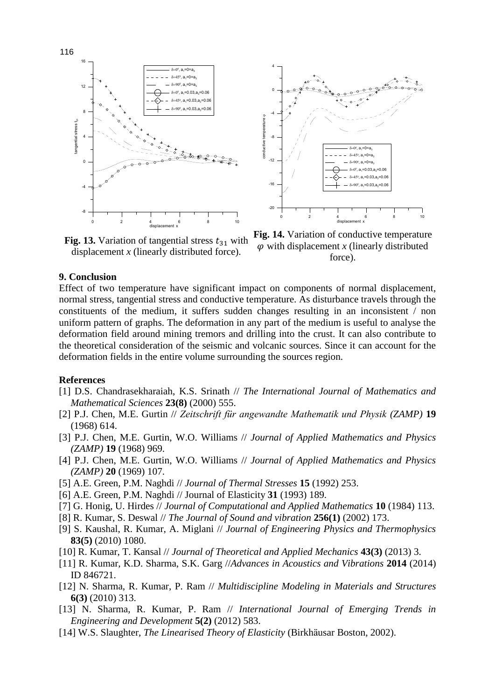



**Fig. 13.** Variation of tangential stress  $t_{31}$  with displacement  $x$  (linearly distributed force).

**Fig. 14.** Variation of conductive temperature  $\varphi$  with displacement *x* (linearly distributed force).

## **9. Conclusion**

Effect of two temperature have significant impact on components of normal displacement, normal stress, tangential stress and conductive temperature. As disturbance travels through the constituents of the medium, it suffers sudden changes resulting in an inconsistent / non uniform pattern of graphs. The deformation in any part of the medium is useful to analyse the deformation field around mining tremors and drilling into the crust. It can also contribute to the theoretical consideration of the seismic and volcanic sources. Since it can account for the deformation fields in the entire volume surrounding the sources region.

4

### **References**

- [1] D.S. Chandrasekharaiah, K.S. Srinath // *The International Journal of Mathematics and Mathematical Sciences* **23(8)** (2000) 555.
- [2] P.J. Chen, M.E. Gurtin // *Zeitschrift für angewandte Mathematik und Physik (ZAMP)* **19** (1968) 614.
- [3] P.J. Chen, M.E. Gurtin, W.O. Williams // *Journal of Applied Mathematics and Physics (ZAMP)* **19** (1968) 969.
- [4] P.J. Chen, M.E. Gurtin, W.O. Williams // *Journal of Applied Mathematics and Physics (ZAMP)* **20** (1969) 107.
- [5] A.E. Green, P.M. Naghdi // *Journal of Thermal Stresses* **15** (1992) 253.
- [6] A.E. Green, P.M. Naghdi // Journal of Elasticity **31** (1993) 189.
- [7] G. Honig, U. Hirdes // *Journal of Computational and Applied Mathematics* **10** (1984) 113.
- [8] R. Kumar, S. Deswal // *The Journal of Sound and vibration* **256(1)** (2002) 173.
- [9] S. Kaushal, R. Kumar, A. Miglani // *Journal of Engineering Physics and Thermophysics* **83(5)** (2010) 1080.
- [10] R. Kumar, T. Kansal // *Journal of Theoretical and Applied Mechanics* **43(3)** (2013) 3.
- [11] R. Kumar, K.D. Sharma, S.K. Garg //*Advances in Acoustics and Vibrations* **2014** (2014) ID 846721.
- [12] N. Sharma, R. Kumar, P. Ram // *Multidiscipline Modeling in Materials and Structures* **6(3)** (2010) 313.
- [13] N. Sharma, R. Kumar, P. Ram // *International Journal of Emerging Trends in Engineering and Development* **5(2)** (2012) 583.
- [14] W.S. Slaughter, *The Linearised Theory of Elasticity* (Birkhӓusar Boston, 2002).